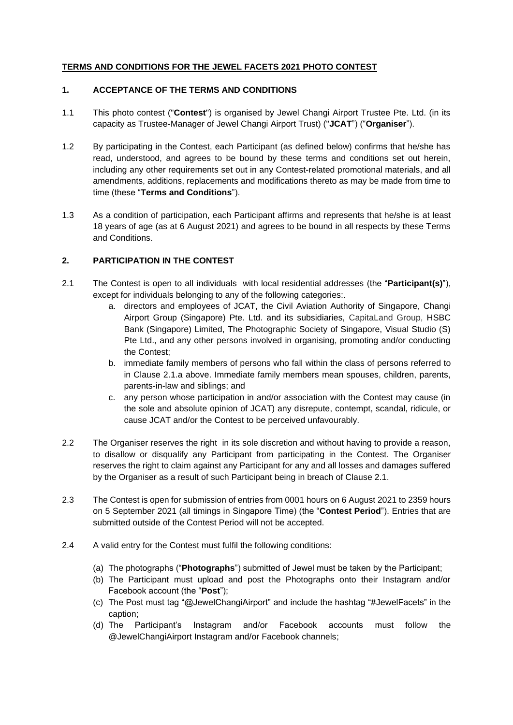## **TERMS AND CONDITIONS FOR THE JEWEL FACETS 2021 PHOTO CONTEST**

#### **1. ACCEPTANCE OF THE TERMS AND CONDITIONS**

- 1.1 This photo contest ("**Contest**") is organised by Jewel Changi Airport Trustee Pte. Ltd. (in its capacity as Trustee-Manager of Jewel Changi Airport Trust) ("**JCAT**") ("**Organiser**").
- 1.2 By participating in the Contest, each Participant (as defined below) confirms that he/she has read, understood, and agrees to be bound by these terms and conditions set out herein, including any other requirements set out in any Contest-related promotional materials, and all amendments, additions, replacements and modifications thereto as may be made from time to time (these "**Terms and Conditions**").
- 1.3 As a condition of participation, each Participant affirms and represents that he/she is at least 18 years of age (as at 6 August 2021) and agrees to be bound in all respects by these Terms and Conditions.

## **2. PARTICIPATION IN THE CONTEST**

- 2.1 The Contest is open to all individuals with local residential addresses (the "**Participant(s)**"), except for individuals belonging to any of the following categories:.
	- a. directors and employees of JCAT, the Civil Aviation Authority of Singapore, Changi Airport Group (Singapore) Pte. Ltd. and its subsidiaries, CapitaLand Group, HSBC Bank (Singapore) Limited, The Photographic Society of Singapore, Visual Studio (S) Pte Ltd., and any other persons involved in organising, promoting and/or conducting the Contest;
	- b. immediate family members of persons who fall within the class of persons referred to in Clause 2.1.a above. Immediate family members mean spouses, children, parents, parents-in-law and siblings; and
	- c. any person whose participation in and/or association with the Contest may cause (in the sole and absolute opinion of JCAT) any disrepute, contempt, scandal, ridicule, or cause JCAT and/or the Contest to be perceived unfavourably.
- 2.2 The Organiser reserves the right in its sole discretion and without having to provide a reason, to disallow or disqualify any Participant from participating in the Contest. The Organiser reserves the right to claim against any Participant for any and all losses and damages suffered by the Organiser as a result of such Participant being in breach of Clause 2.1.
- 2.3 The Contest is open for submission of entries from 0001 hours on 6 August 2021 to 2359 hours on 5 September 2021 (all timings in Singapore Time) (the "**Contest Period**"). Entries that are submitted outside of the Contest Period will not be accepted.
- 2.4 A valid entry for the Contest must fulfil the following conditions:
	- (a) The photographs ("**Photographs**") submitted of Jewel must be taken by the Participant;
	- (b) The Participant must upload and post the Photographs onto their Instagram and/or Facebook account (the "**Post**");
	- (c) The Post must tag "@JewelChangiAirport" and include the hashtag "#JewelFacets" in the caption;
	- (d) The Participant's Instagram and/or Facebook accounts must follow the @JewelChangiAirport Instagram and/or Facebook channels;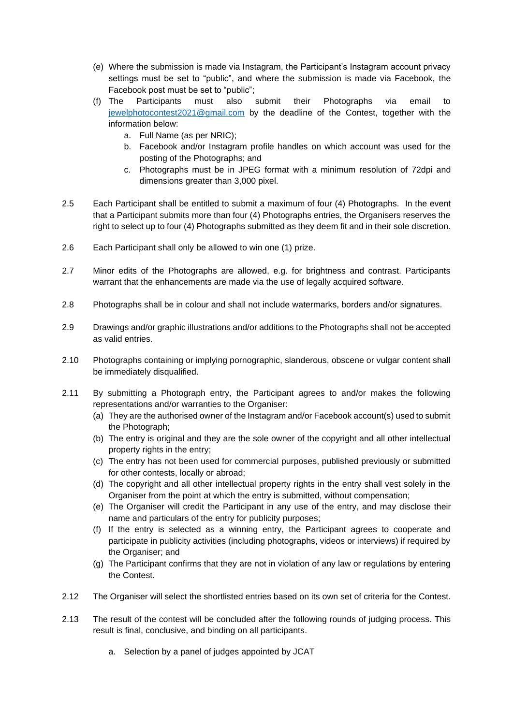- (e) Where the submission is made via Instagram, the Participant's Instagram account privacy settings must be set to "public", and where the submission is made via Facebook, the Facebook post must be set to "public";
- (f) The Participants must also submit their Photographs via email to [jewelphotocontest2021@gmail.com](mailto:jewelphotocontest2021@gmail.com) by the deadline of the Contest, together with the information below:
	- a. Full Name (as per NRIC);
	- b. Facebook and/or Instagram profile handles on which account was used for the posting of the Photographs; and
	- c. Photographs must be in JPEG format with a minimum resolution of 72dpi and dimensions greater than 3,000 pixel.
- 2.5 Each Participant shall be entitled to submit a maximum of four (4) Photographs. In the event that a Participant submits more than four (4) Photographs entries, the Organisers reserves the right to select up to four (4) Photographs submitted as they deem fit and in their sole discretion.
- 2.6 Each Participant shall only be allowed to win one (1) prize.
- 2.7 Minor edits of the Photographs are allowed, e.g. for brightness and contrast. Participants warrant that the enhancements are made via the use of legally acquired software.
- 2.8 Photographs shall be in colour and shall not include watermarks, borders and/or signatures.
- 2.9 Drawings and/or graphic illustrations and/or additions to the Photographs shall not be accepted as valid entries.
- 2.10 Photographs containing or implying pornographic, slanderous, obscene or vulgar content shall be immediately disqualified.
- 2.11 By submitting a Photograph entry, the Participant agrees to and/or makes the following representations and/or warranties to the Organiser:
	- (a) They are the authorised owner of the Instagram and/or Facebook account(s) used to submit the Photograph;
	- (b) The entry is original and they are the sole owner of the copyright and all other intellectual property rights in the entry;
	- (c) The entry has not been used for commercial purposes, published previously or submitted for other contests, locally or abroad;
	- (d) The copyright and all other intellectual property rights in the entry shall vest solely in the Organiser from the point at which the entry is submitted, without compensation;
	- (e) The Organiser will credit the Participant in any use of the entry, and may disclose their name and particulars of the entry for publicity purposes;
	- (f) If the entry is selected as a winning entry, the Participant agrees to cooperate and participate in publicity activities (including photographs, videos or interviews) if required by the Organiser; and
	- (g) The Participant confirms that they are not in violation of any law or regulations by entering the Contest.
- 2.12 The Organiser will select the shortlisted entries based on its own set of criteria for the Contest.
- 2.13 The result of the contest will be concluded after the following rounds of judging process. This result is final, conclusive, and binding on all participants.
	- a. Selection by a panel of judges appointed by JCAT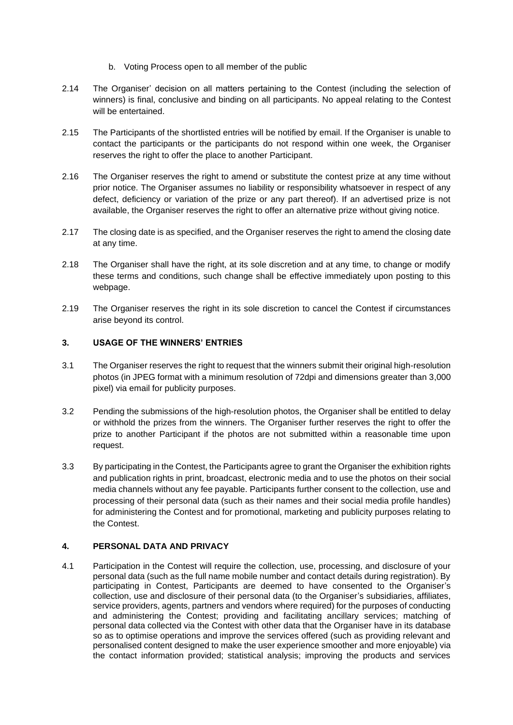- b. Voting Process open to all member of the public
- 2.14 The Organiser' decision on all matters pertaining to the Contest (including the selection of winners) is final, conclusive and binding on all participants. No appeal relating to the Contest will be entertained.
- 2.15 The Participants of the shortlisted entries will be notified by email. If the Organiser is unable to contact the participants or the participants do not respond within one week, the Organiser reserves the right to offer the place to another Participant.
- 2.16 The Organiser reserves the right to amend or substitute the contest prize at any time without prior notice. The Organiser assumes no liability or responsibility whatsoever in respect of any defect, deficiency or variation of the prize or any part thereof). If an advertised prize is not available, the Organiser reserves the right to offer an alternative prize without giving notice.
- 2.17 The closing date is as specified, and the Organiser reserves the right to amend the closing date at any time.
- 2.18 The Organiser shall have the right, at its sole discretion and at any time, to change or modify these terms and conditions, such change shall be effective immediately upon posting to this webpage.
- 2.19 The Organiser reserves the right in its sole discretion to cancel the Contest if circumstances arise beyond its control.

## **3. USAGE OF THE WINNERS' ENTRIES**

- 3.1 The Organiser reserves the right to request that the winners submit their original high-resolution photos (in JPEG format with a minimum resolution of 72dpi and dimensions greater than 3,000 pixel) via email for publicity purposes.
- 3.2 Pending the submissions of the high-resolution photos, the Organiser shall be entitled to delay or withhold the prizes from the winners. The Organiser further reserves the right to offer the prize to another Participant if the photos are not submitted within a reasonable time upon request.
- 3.3 By participating in the Contest, the Participants agree to grant the Organiser the exhibition rights and publication rights in print, broadcast, electronic media and to use the photos on their social media channels without any fee payable. Participants further consent to the collection, use and processing of their personal data (such as their names and their social media profile handles) for administering the Contest and for promotional, marketing and publicity purposes relating to the Contest.

# **4. PERSONAL DATA AND PRIVACY**

4.1 Participation in the Contest will require the collection, use, processing, and disclosure of your personal data (such as the full name mobile number and contact details during registration). By participating in Contest, Participants are deemed to have consented to the Organiser's collection, use and disclosure of their personal data (to the Organiser's subsidiaries, affiliates, service providers, agents, partners and vendors where required) for the purposes of conducting and administering the Contest; providing and facilitating ancillary services; matching of personal data collected via the Contest with other data that the Organiser have in its database so as to optimise operations and improve the services offered (such as providing relevant and personalised content designed to make the user experience smoother and more enjoyable) via the contact information provided; statistical analysis; improving the products and services